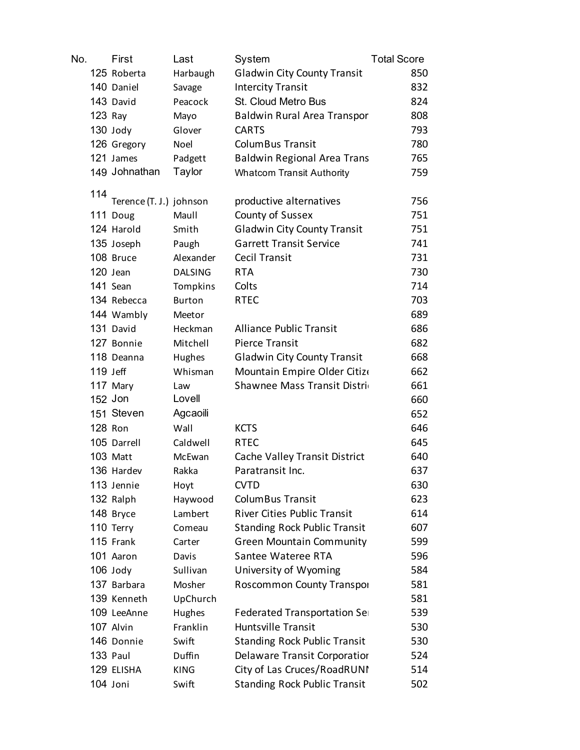| No. | First                   | Last           | System                              | <b>Total Score</b> |
|-----|-------------------------|----------------|-------------------------------------|--------------------|
|     | 125 Roberta             | Harbaugh       | <b>Gladwin City County Transit</b>  | 850                |
|     | 140 Daniel              | Savage         | <b>Intercity Transit</b>            | 832                |
|     | 143 David               | Peacock        | St. Cloud Metro Bus                 | 824                |
|     | $123$ Ray               | Mayo           | Baldwin Rural Area Transpor         | 808                |
|     | 130 Jody                | Glover         | <b>CARTS</b>                        | 793                |
|     | 126 Gregory             | Noel           | <b>ColumBus Transit</b>             | 780                |
|     | 121 James               | Padgett        | <b>Baldwin Regional Area Trans</b>  | 765                |
|     | 149 Johnathan           | Taylor         | <b>Whatcom Transit Authority</b>    | 759                |
| 114 |                         |                |                                     |                    |
|     | Terence (T. J.) johnson |                | productive alternatives             | 756                |
|     | 111 Doug                | Maull          | County of Sussex                    | 751                |
|     | 124 Harold              | Smith          | <b>Gladwin City County Transit</b>  | 751                |
|     | 135 Joseph              | Paugh          | <b>Garrett Transit Service</b>      | 741                |
|     | 108 Bruce               | Alexander      | <b>Cecil Transit</b>                | 731                |
|     | 120 Jean                | <b>DALSING</b> | <b>RTA</b>                          | 730                |
|     | 141 Sean                | Tompkins       | Colts                               | 714                |
|     | 134 Rebecca             | <b>Burton</b>  | <b>RTEC</b>                         | 703                |
|     | 144 Wambly              | Meetor         |                                     | 689                |
|     | 131 David               | Heckman        | <b>Alliance Public Transit</b>      | 686                |
|     | 127 Bonnie              | Mitchell       | <b>Pierce Transit</b>               | 682                |
|     | 118 Deanna              | Hughes         | <b>Gladwin City County Transit</b>  | 668                |
|     | $119$ Jeff              | Whisman        | Mountain Empire Older Citize        | 662                |
|     | 117 Mary                | Law            | Shawnee Mass Transit Distrio        | 661                |
|     | 152 Jon                 | Lovell         |                                     | 660                |
|     | 151 Steven              | Agcaoili       |                                     | 652                |
|     | 128 Ron                 | Wall           | <b>KCTS</b>                         | 646                |
|     | 105 Darrell             | Caldwell       | <b>RTEC</b>                         | 645                |
|     | 103 Matt                | McEwan         | Cache Valley Transit District       | 640                |
|     | 136 Hardev              | Rakka          | Paratransit Inc.                    | 637                |
|     | 113 Jennie              | Hoyt           | <b>CVTD</b>                         | 630                |
|     | 132 Ralph               | Haywood        | <b>ColumBus Transit</b>             | 623                |
|     | 148 Bryce               | Lambert        | <b>River Cities Public Transit</b>  | 614                |
|     | 110 Terry               | Comeau         | <b>Standing Rock Public Transit</b> | 607                |
|     | 115 Frank               | Carter         | <b>Green Mountain Community</b>     | 599                |
|     | 101 Aaron               | Davis          | Santee Wateree RTA                  | 596                |
|     | 106 Jody                | Sullivan       | University of Wyoming               | 584                |
|     | 137 Barbara             | Mosher         | Roscommon County Transpor           | 581                |
|     | 139 Kenneth             | UpChurch       |                                     | 581                |
|     | 109 LeeAnne             | Hughes         | Federated Transportation Ser        | 539                |
|     | 107 Alvin               | Franklin       | Huntsville Transit                  | 530                |
|     | 146 Donnie              | Swift          | <b>Standing Rock Public Transit</b> | 530                |
|     | 133 Paul                | Duffin         | Delaware Transit Corporatior        | 524                |
|     | 129 ELISHA              | <b>KING</b>    | City of Las Cruces/RoadRUNI         | 514                |
|     | 104 Joni                | Swift          | <b>Standing Rock Public Transit</b> | 502                |